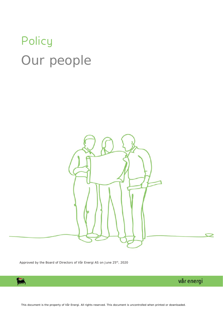# **Policy** Our people



Approved by the Board of Directors of Vår Energi AS on June 25<sup>th</sup>, 2020



vår energi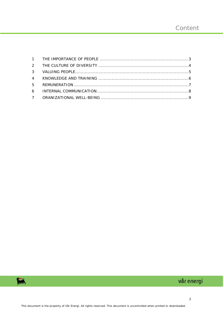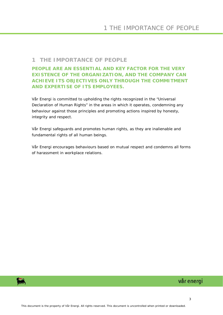#### <span id="page-2-0"></span>**1 THE IMPORTANCE OF PEOPLE**

**PEOPLE ARE AN ESSENTIAL AND KEY FACTOR FOR THE VERY EXISTENCE OF THE ORGANIZATION, AND THE COMPANY CAN ACHIEVE ITS OBJECTIVES ONLY THROUGH THE COMMITMENT AND EXPERTISE OF ITS EMPLOYEES.**

Vår Energi is committed to upholding the rights recognized in the "Universal Declaration of Human Rights" in the areas in which it operates, condemning any behaviour against those principles and promoting actions inspired by honesty, integrity and respect.

Vår Energi safeguards and promotes human rights, as they are inalienable and fundamental rights of all human beings.

Vår Energi encourages behaviours based on mutual respect and condemns all forms of harassment in workplace relations.

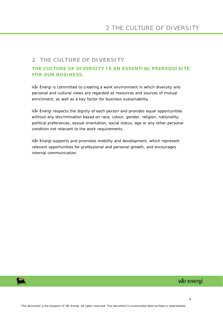# <span id="page-3-0"></span>**2 THE CULTURE OF DIVERSITY**

#### **THE CULTURE OF DIVERSITY IS AN ESSENTIAL PREREQUISITE FOR OUR BUSINESS.**

Vår Energi is committed to creating a work environment in which diversity and personal and cultural views are regarded as resources and sources of mutual enrichment, as well as a key factor for business sustainability.

Vår Energi respects the dignity of each person and provides equal opportunities without any discrimination based on race, colour, gender, religion, nationality, political preferences, sexual orientation, social status, age or any other personal condition not relevant to the work requirements.

Vår Energi supports and promotes mobility and development, which represent relevant opportunities for professional and personal growth, and encourages internal communication.

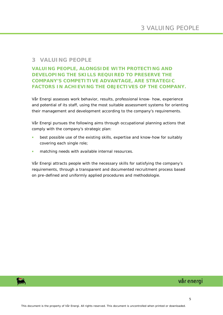## <span id="page-4-0"></span>**3 VALUING PEOPLE**

# **VALUING PEOPLE, ALONGSIDE WITH PROTECTING AND DEVELOPING THE SKILLS REQUIRED TO PRESERVE THE COMPANY'S COMPETITIVE ADVANTAGE, ARE STRATEGIC FACTORS IN ACHIEVING THE OBJECTIVES OF THE COMPANY.**

Vår Energi assesses work behavior, results, professional know- how, experience and potential of its staff, using the most suitable assessment systems for orienting their management and development according to the company's requirements.

Vår Energi pursues the following aims through occupational planning actions that comply with the company's strategic plan:

- best possible use of the existing skills, expertise and know-how for suitably covering each single role;
- matching needs with available internal resources.

Vår Energi attracts people with the necessary skills for satisfying the company's requirements, through a transparent and documented recruitment process based on pre-defined and uniformly applied procedures and methodologie.

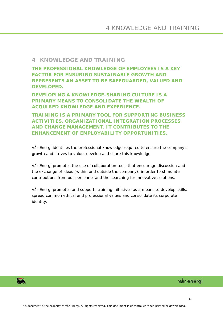#### <span id="page-5-0"></span>**4 KNOWLEDGE AND TRAINING**

**THE PROFESSIONAL KNOWLEDGE OF EMPLOYEES IS A KEY FACTOR FOR ENSURING SUSTAINABLE GROWTH AND REPRESENTS AN ASSET TO BE SAFEGUARDED, VALUED AND DEVELOPED.**

**DEVELOPING A KNOWLEDGE-SHARING CULTURE IS A PRIMARY MEANS TO CONSOLIDATE THE WEALTH OF ACQUIRED KNOWLEDGE AND EXPERIENCE.**

**TRAINING IS A PRIMARY TOOL FOR SUPPORTING BUSINESS ACTIVITIES, ORGANIZATIONAL INTEGRATION PROCESSES AND CHANGE MANAGEMENT. IT CONTRIBUTES TO THE ENHANCEMENT OF EMPLOYABILITY OPPORTUNITIES.**

Vår Energi identifies the professional knowledge required to ensure the company's growth and strives to value, develop and share this knowledge.

Vår Energi promotes the use of collaboration tools that encourage discussion and the exchange of ideas (within and outside the company), in order to stimulate contributions from our personnel and the searching for innovative solutions.

Vår Energi promotes and supports training initiatives as a means to develop skills, spread common ethical and professional values and consolidate its corporate identity.



# vår energi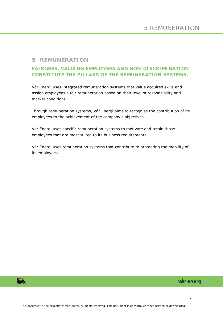#### <span id="page-6-0"></span>**5 REMUNERATION**

#### **FAIRNESS, VALUING EMPLOYEES AND NON-DISCRIMINATION CONSTITUTE THE PILLARS OF THE REMUNERATION SYSTEMS.**

Vår Energi uses integrated remuneration systems that value acquired skills and assign employees a fair remuneration based on their level of responsibility and market conditions.

Through remuneration systems, Vår Energi aims to recognise the contribution of its employees to the achievement of the company's objectives.

Vår Energi uses specific remuneration systems to motivate and retain those employees that are most suited to its business requirements.

Vår Energi uses remuneration systems that contribute to promoting the mobility of its employees.

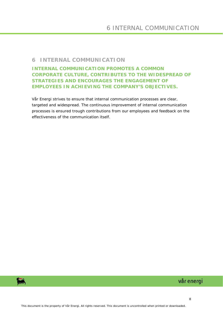#### <span id="page-7-0"></span>**6 INTERNAL COMMUNICATION**

**INTERNAL COMMUNICATION PROMOTES A COMMON CORPORATE CULTURE, CONTRIBUTES TO THE WIDESPREAD OF STRATEGIES AND ENCOURAGES THE ENGAGEMENT OF EMPLOYEES IN ACHIEVING THE COMPANY'S OBJECTIVES.**

Vår Energi strives to ensure that internal communication processes are clear, targeted and widespread. The continuous improvement of internal communication processes is ensured trough contributions from our employees and feedback on the effectiveness of the communication itself.